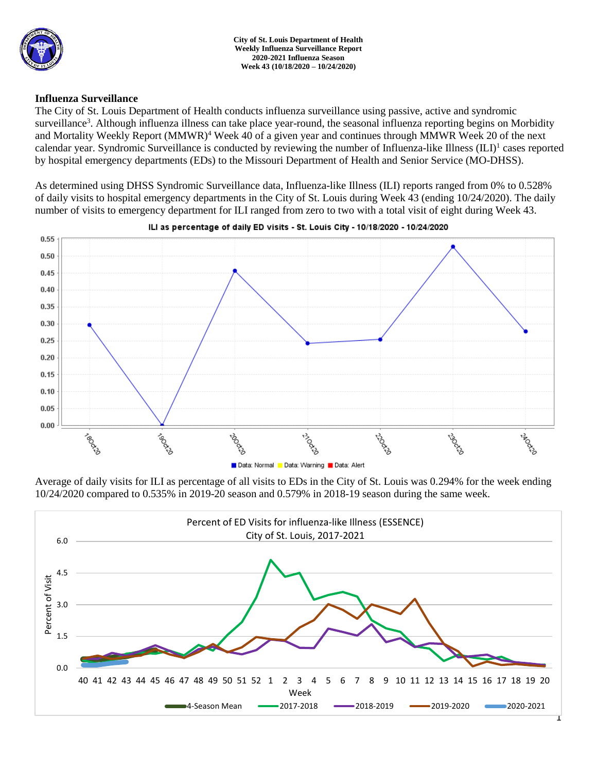

### **Influenza Surveillance**

The City of St. Louis Department of Health conducts influenza surveillance using passive, active and syndromic surveillance<sup>3</sup>. Although influenza illness can take place year-round, the seasonal influenza reporting begins on Morbidity and Mortality Weekly Report (MMWR)<sup>4</sup> Week 40 of a given year and continues through MMWR Week 20 of the next calendar year. Syndromic Surveillance is conducted by reviewing the number of Influenza-like Illness (ILI)<sup>1</sup> cases reported by hospital emergency departments (EDs) to the Missouri Department of Health and Senior Service (MO-DHSS).

As determined using DHSS Syndromic Surveillance data, Influenza-like Illness (ILI) reports ranged from 0% to 0.528% of daily visits to hospital emergency departments in the City of St. Louis during Week 43 (ending 10/24/2020). The daily number of visits to emergency department for ILI ranged from zero to two with a total visit of eight during Week 43.



#### ILI as percentage of daily ED visits - St. Louis City - 10/18/2020 - 10/24/2020

Average of daily visits for ILI as percentage of all visits to EDs in the City of St. Louis was 0.294% for the week ending 10/24/2020 compared to 0.535% in 2019-20 season and 0.579% in 2018-19 season during the same week.

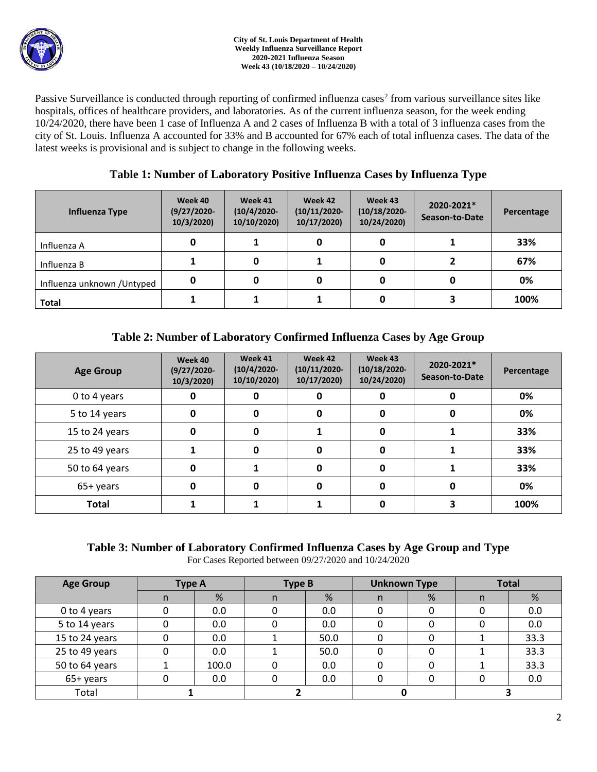

Passive Surveillance is conducted through reporting of confirmed influenza cases<sup>2</sup> from various surveillance sites like hospitals, offices of healthcare providers, and laboratories. As of the current influenza season, for the week ending 10/24/2020, there have been 1 case of Influenza A and 2 cases of Influenza B with a total of 3 influenza cases from the city of St. Louis. Influenza A accounted for 33% and B accounted for 67% each of total influenza cases. The data of the latest weeks is provisional and is subject to change in the following weeks.

## **Table 1: Number of Laboratory Positive Influenza Cases by Influenza Type**

| Influenza Type              | Week 40<br>$(9/27/2020 -$<br>10/3/2020 | Week 41<br>$(10/4/2020 -$<br>10/10/2020) | Week 42<br>$(10/11/2020 -$<br>10/17/2020 | Week 43<br>$(10/18/2020 -$<br>10/24/2020) | 2020-2021*<br>Season-to-Date | Percentage |
|-----------------------------|----------------------------------------|------------------------------------------|------------------------------------------|-------------------------------------------|------------------------------|------------|
| Influenza A                 | 0                                      |                                          | 0                                        |                                           |                              | 33%        |
| Influenza B                 |                                        |                                          |                                          |                                           |                              | 67%        |
| Influenza unknown / Untyped | 0                                      |                                          | 0                                        |                                           |                              | 0%         |
| <b>Total</b>                |                                        |                                          |                                          |                                           |                              | 100%       |

# **Table 2: Number of Laboratory Confirmed Influenza Cases by Age Group**

| <b>Age Group</b> | Week 40<br>$(9/27/2020 -$<br>10/3/2020 | Week 41<br>$(10/4/2020 -$<br>10/10/2020) | Week 42<br>$(10/11/2020 -$<br>10/17/2020) | Week 43<br>$(10/18/2020 -$<br>10/24/2020) | 2020-2021*<br>Season-to-Date | Percentage |
|------------------|----------------------------------------|------------------------------------------|-------------------------------------------|-------------------------------------------|------------------------------|------------|
| 0 to 4 years     | 0                                      |                                          | 0                                         | 0                                         | 0                            | 0%         |
| 5 to 14 years    | 0                                      |                                          | 0                                         | $\Omega$                                  | 0                            | 0%         |
| 15 to 24 years   | 0                                      |                                          |                                           | 0                                         |                              | 33%        |
| 25 to 49 years   |                                        |                                          | 0                                         | 0                                         |                              | 33%        |
| 50 to 64 years   | 0                                      |                                          | 0                                         | O                                         |                              | 33%        |
| 65+ years        | 0                                      |                                          | 0                                         | O                                         | 0                            | 0%         |
| <b>Total</b>     |                                        |                                          |                                           |                                           |                              | 100%       |

# **Table 3: Number of Laboratory Confirmed Influenza Cases by Age Group and Type**

For Cases Reported between 09/27/2020 and 10/24/2020

| <b>Age Group</b> | <b>Type A</b> |       | <b>Type B</b> |      | <b>Unknown Type</b> |   | <b>Total</b> |      |
|------------------|---------------|-------|---------------|------|---------------------|---|--------------|------|
|                  | n             | %     | n.            | %    |                     | % | n            | %    |
| 0 to 4 years     |               | 0.0   |               | 0.0  |                     |   |              | 0.0  |
| 5 to 14 years    |               | 0.0   |               | 0.0  |                     |   |              | 0.0  |
| 15 to 24 years   |               | 0.0   |               | 50.0 |                     |   |              | 33.3 |
| 25 to 49 years   |               | 0.0   |               | 50.0 |                     |   |              | 33.3 |
| 50 to 64 years   |               | 100.0 |               | 0.0  |                     |   |              | 33.3 |
| 65+ years        |               | 0.0   |               | 0.0  |                     |   |              | 0.0  |
| Total            |               |       |               |      |                     |   |              |      |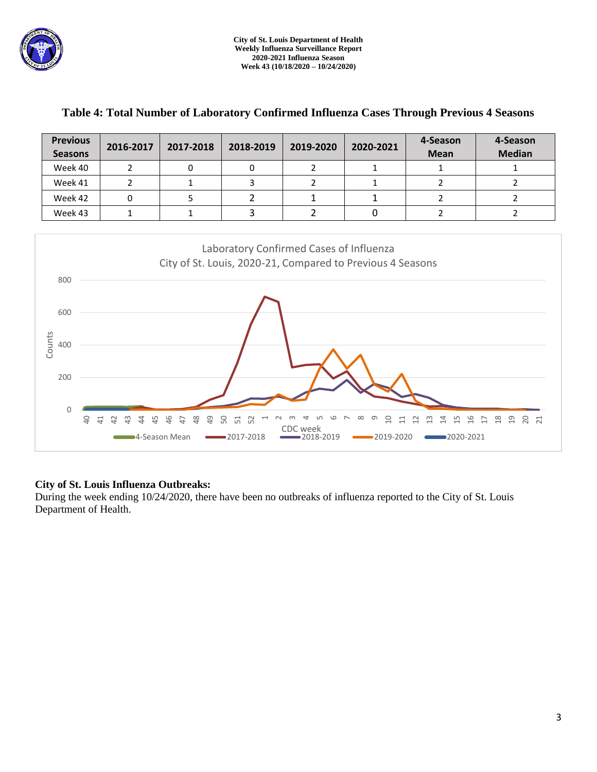

| <b>Previous</b><br><b>Seasons</b> | 2016-2017 | 2017-2018 | 2018-2019 | 2019-2020 | 2020-2021 | 4-Season<br><b>Mean</b> | 4-Season<br><b>Median</b> |
|-----------------------------------|-----------|-----------|-----------|-----------|-----------|-------------------------|---------------------------|
| Week 40                           |           |           |           |           |           |                         |                           |
| Week 41                           |           |           |           |           |           |                         |                           |
| Week 42                           |           |           |           |           |           |                         |                           |
| Week 43                           |           |           |           |           |           |                         |                           |

### **Table 4: Total Number of Laboratory Confirmed Influenza Cases Through Previous 4 Seasons**



### **City of St. Louis Influenza Outbreaks:**

During the week ending 10/24/2020, there have been no outbreaks of influenza reported to the City of St. Louis Department of Health.